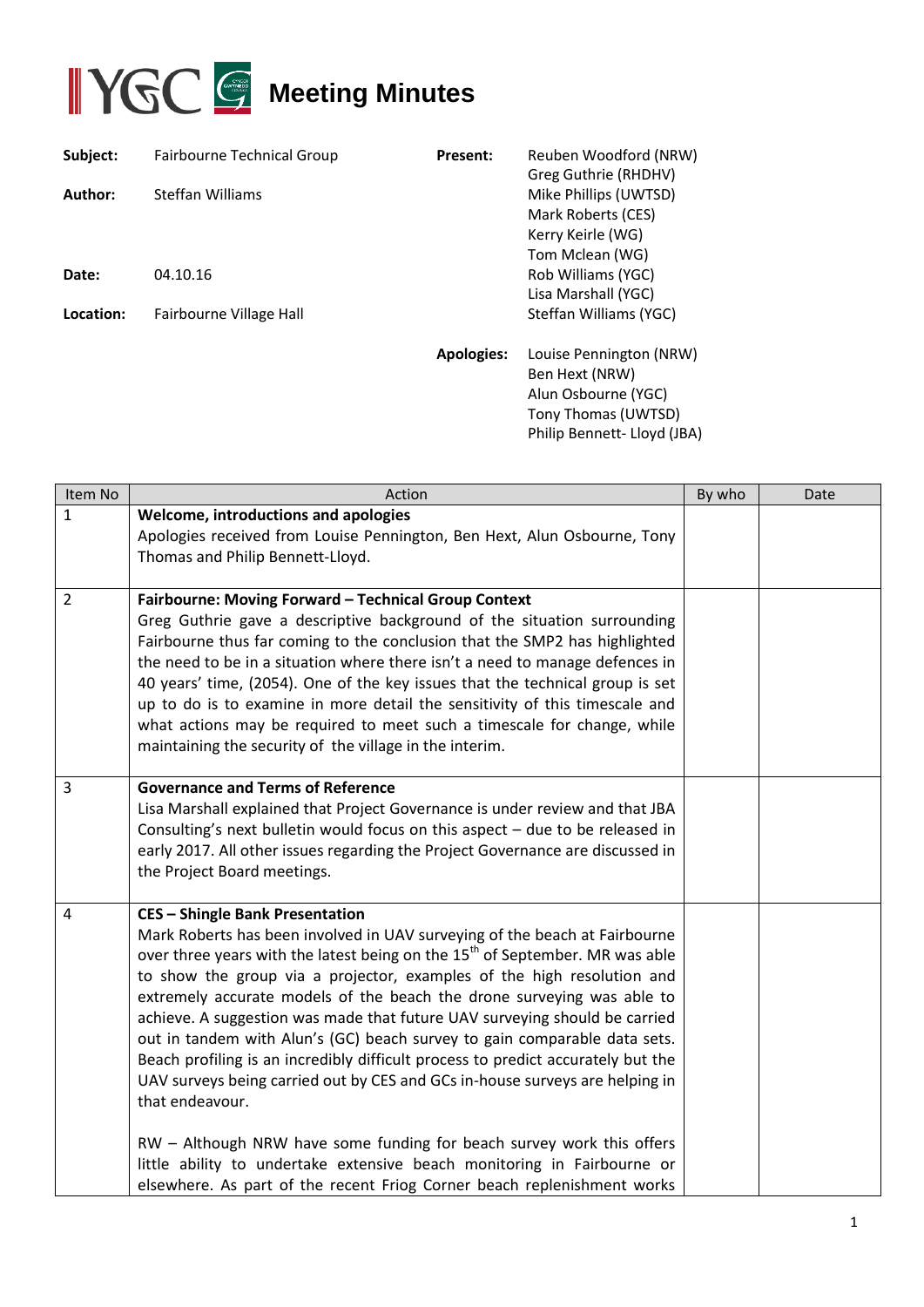

| Subject:  | Fairbourne Technical Group | <b>Present:</b>   | Reuben Woodford (NRW)<br>Greg Guthrie (RHDHV)                                                                          |
|-----------|----------------------------|-------------------|------------------------------------------------------------------------------------------------------------------------|
| Author:   | Steffan Williams           |                   | Mike Phillips (UWTSD)<br>Mark Roberts (CES)<br>Kerry Keirle (WG)<br>Tom Mclean (WG)                                    |
| Date:     | 04.10.16                   |                   | Rob Williams (YGC)<br>Lisa Marshall (YGC)                                                                              |
| Location: | Fairbourne Village Hall    |                   | Steffan Williams (YGC)                                                                                                 |
|           |                            | <b>Apologies:</b> | Louise Pennington (NRW)<br>Ben Hext (NRW)<br>Alun Osbourne (YGC)<br>Tony Thomas (UWTSD)<br>Philip Bennett- Lloyd (JBA) |

| Item No        | Action                                                                                                                                                                                                                                                                                                                                                                                                                                                                                                                                                                                                                                                                                                                                                                                                                                                                                                                                                | By who | Date |
|----------------|-------------------------------------------------------------------------------------------------------------------------------------------------------------------------------------------------------------------------------------------------------------------------------------------------------------------------------------------------------------------------------------------------------------------------------------------------------------------------------------------------------------------------------------------------------------------------------------------------------------------------------------------------------------------------------------------------------------------------------------------------------------------------------------------------------------------------------------------------------------------------------------------------------------------------------------------------------|--------|------|
| $\mathbf{1}$   | Welcome, introductions and apologies<br>Apologies received from Louise Pennington, Ben Hext, Alun Osbourne, Tony<br>Thomas and Philip Bennett-Lloyd.                                                                                                                                                                                                                                                                                                                                                                                                                                                                                                                                                                                                                                                                                                                                                                                                  |        |      |
| $\overline{2}$ | Fairbourne: Moving Forward - Technical Group Context<br>Greg Guthrie gave a descriptive background of the situation surrounding<br>Fairbourne thus far coming to the conclusion that the SMP2 has highlighted<br>the need to be in a situation where there isn't a need to manage defences in<br>40 years' time, (2054). One of the key issues that the technical group is set<br>up to do is to examine in more detail the sensitivity of this timescale and<br>what actions may be required to meet such a timescale for change, while<br>maintaining the security of the village in the interim.                                                                                                                                                                                                                                                                                                                                                   |        |      |
| 3              | <b>Governance and Terms of Reference</b><br>Lisa Marshall explained that Project Governance is under review and that JBA<br>Consulting's next bulletin would focus on this aspect $-$ due to be released in<br>early 2017. All other issues regarding the Project Governance are discussed in<br>the Project Board meetings.                                                                                                                                                                                                                                                                                                                                                                                                                                                                                                                                                                                                                          |        |      |
| 4              | <b>CES - Shingle Bank Presentation</b><br>Mark Roberts has been involved in UAV surveying of the beach at Fairbourne<br>over three years with the latest being on the 15 <sup>th</sup> of September. MR was able<br>to show the group via a projector, examples of the high resolution and<br>extremely accurate models of the beach the drone surveying was able to<br>achieve. A suggestion was made that future UAV surveying should be carried<br>out in tandem with Alun's (GC) beach survey to gain comparable data sets.<br>Beach profiling is an incredibly difficult process to predict accurately but the<br>UAV surveys being carried out by CES and GCs in-house surveys are helping in<br>that endeavour.<br>RW - Although NRW have some funding for beach survey work this offers<br>little ability to undertake extensive beach monitoring in Fairbourne or<br>elsewhere. As part of the recent Friog Corner beach replenishment works |        |      |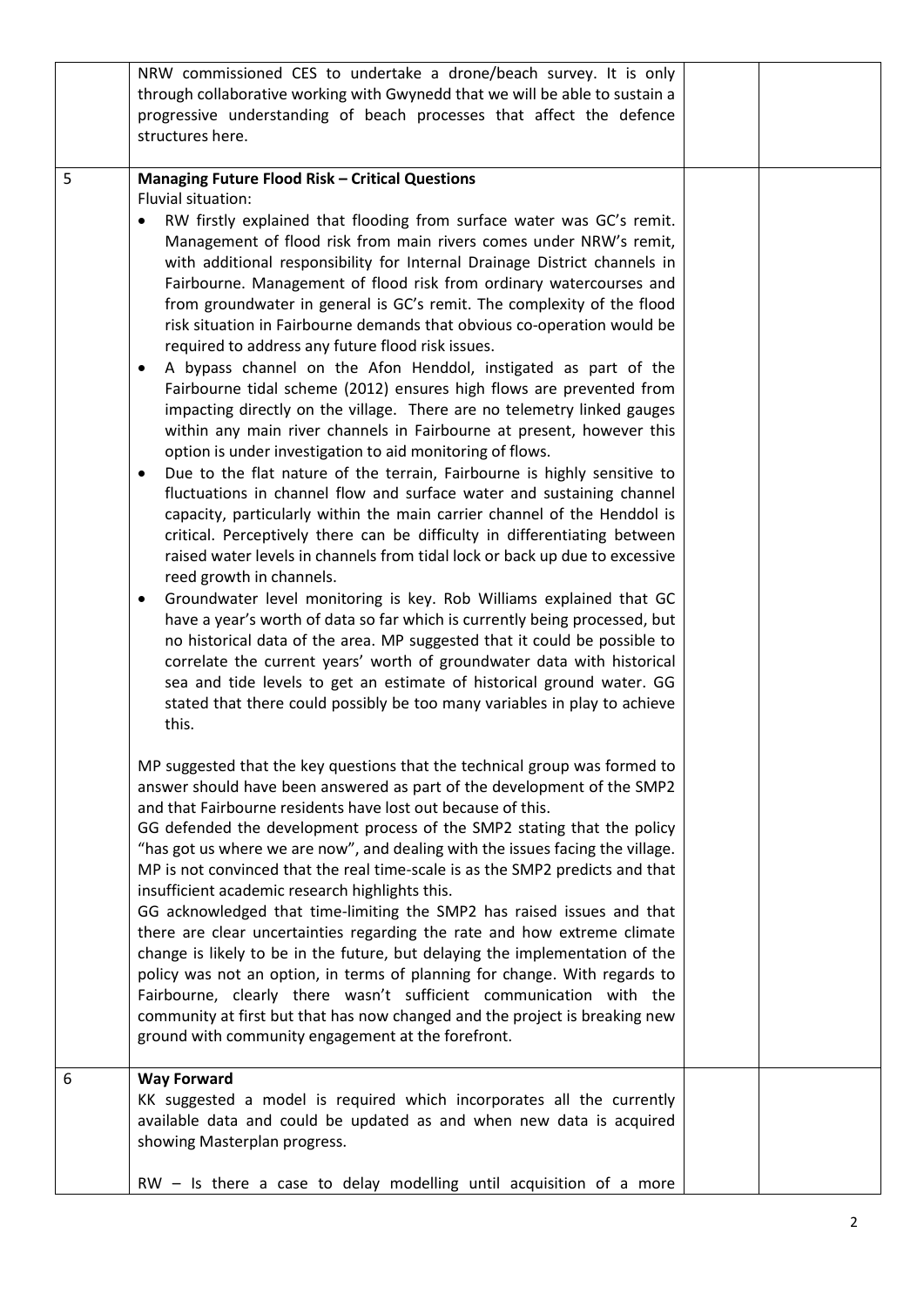|   | NRW commissioned CES to undertake a drone/beach survey. It is only<br>through collaborative working with Gwynedd that we will be able to sustain a<br>progressive understanding of beach processes that affect the defence<br>structures here.                                                                                                                                                                                                                                                                                                                                                                                                                                                                                                                                                                                                                                                                                                                                                                                                                                                                                                                                                                                                                                                                                                                                                                                                                                                                                                                                                                                                                                                                                                                                                                                                                                      |  |
|---|-------------------------------------------------------------------------------------------------------------------------------------------------------------------------------------------------------------------------------------------------------------------------------------------------------------------------------------------------------------------------------------------------------------------------------------------------------------------------------------------------------------------------------------------------------------------------------------------------------------------------------------------------------------------------------------------------------------------------------------------------------------------------------------------------------------------------------------------------------------------------------------------------------------------------------------------------------------------------------------------------------------------------------------------------------------------------------------------------------------------------------------------------------------------------------------------------------------------------------------------------------------------------------------------------------------------------------------------------------------------------------------------------------------------------------------------------------------------------------------------------------------------------------------------------------------------------------------------------------------------------------------------------------------------------------------------------------------------------------------------------------------------------------------------------------------------------------------------------------------------------------------|--|
| 5 | <b>Managing Future Flood Risk - Critical Questions</b><br>Fluvial situation:<br>RW firstly explained that flooding from surface water was GC's remit.<br>Management of flood risk from main rivers comes under NRW's remit,<br>with additional responsibility for Internal Drainage District channels in<br>Fairbourne. Management of flood risk from ordinary watercourses and<br>from groundwater in general is GC's remit. The complexity of the flood<br>risk situation in Fairbourne demands that obvious co-operation would be<br>required to address any future flood risk issues.<br>A bypass channel on the Afon Henddol, instigated as part of the<br>$\bullet$<br>Fairbourne tidal scheme (2012) ensures high flows are prevented from<br>impacting directly on the village. There are no telemetry linked gauges<br>within any main river channels in Fairbourne at present, however this<br>option is under investigation to aid monitoring of flows.<br>Due to the flat nature of the terrain, Fairbourne is highly sensitive to<br>fluctuations in channel flow and surface water and sustaining channel<br>capacity, particularly within the main carrier channel of the Henddol is<br>critical. Perceptively there can be difficulty in differentiating between<br>raised water levels in channels from tidal lock or back up due to excessive<br>reed growth in channels.<br>Groundwater level monitoring is key. Rob Williams explained that GC<br>$\bullet$<br>have a year's worth of data so far which is currently being processed, but<br>no historical data of the area. MP suggested that it could be possible to<br>correlate the current years' worth of groundwater data with historical<br>sea and tide levels to get an estimate of historical ground water. GG<br>stated that there could possibly be too many variables in play to achieve<br>this. |  |
|   | MP suggested that the key questions that the technical group was formed to<br>answer should have been answered as part of the development of the SMP2<br>and that Fairbourne residents have lost out because of this.<br>GG defended the development process of the SMP2 stating that the policy<br>"has got us where we are now", and dealing with the issues facing the village.<br>MP is not convinced that the real time-scale is as the SMP2 predicts and that<br>insufficient academic research highlights this.<br>GG acknowledged that time-limiting the SMP2 has raised issues and that<br>there are clear uncertainties regarding the rate and how extreme climate<br>change is likely to be in the future, but delaying the implementation of the<br>policy was not an option, in terms of planning for change. With regards to<br>Fairbourne, clearly there wasn't sufficient communication with the<br>community at first but that has now changed and the project is breaking new<br>ground with community engagement at the forefront.                                                                                                                                                                                                                                                                                                                                                                                                                                                                                                                                                                                                                                                                                                                                                                                                                               |  |
| 6 | <b>Way Forward</b><br>KK suggested a model is required which incorporates all the currently<br>available data and could be updated as and when new data is acquired<br>showing Masterplan progress.<br>RW - Is there a case to delay modelling until acquisition of a more                                                                                                                                                                                                                                                                                                                                                                                                                                                                                                                                                                                                                                                                                                                                                                                                                                                                                                                                                                                                                                                                                                                                                                                                                                                                                                                                                                                                                                                                                                                                                                                                          |  |